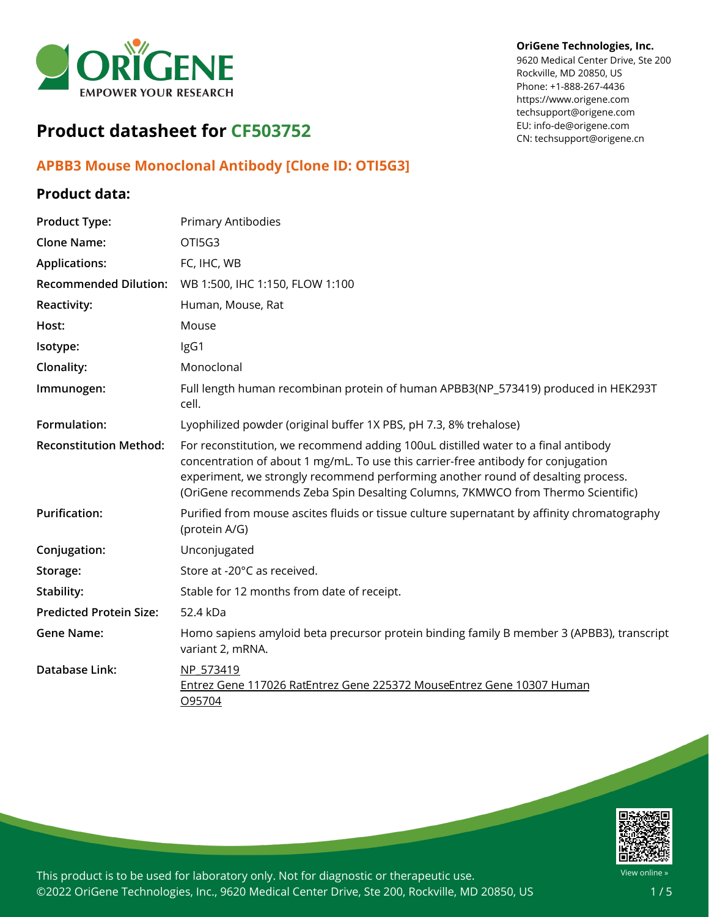

#### **OriGene Technologies, Inc.**

9620 Medical Center Drive, Ste 200 Rockville, MD 20850, US Phone: +1-888-267-4436 https://www.origene.com techsupport@origene.com EU: info-de@origene.com CN: techsupport@origene.cn

# **Product datasheet for CF503752**

## **APBB3 Mouse Monoclonal Antibody [Clone ID: OTI5G3]**

## **Product data:**

| <b>Product Type:</b>           | <b>Primary Antibodies</b>                                                                                                                                                                                                                                                                                                                     |
|--------------------------------|-----------------------------------------------------------------------------------------------------------------------------------------------------------------------------------------------------------------------------------------------------------------------------------------------------------------------------------------------|
| <b>Clone Name:</b>             | OTI5G3                                                                                                                                                                                                                                                                                                                                        |
| <b>Applications:</b>           | FC, IHC, WB                                                                                                                                                                                                                                                                                                                                   |
| <b>Recommended Dilution:</b>   | WB 1:500, IHC 1:150, FLOW 1:100                                                                                                                                                                                                                                                                                                               |
| Reactivity:                    | Human, Mouse, Rat                                                                                                                                                                                                                                                                                                                             |
| Host:                          | Mouse                                                                                                                                                                                                                                                                                                                                         |
| Isotype:                       | IgG1                                                                                                                                                                                                                                                                                                                                          |
| Clonality:                     | Monoclonal                                                                                                                                                                                                                                                                                                                                    |
| Immunogen:                     | Full length human recombinan protein of human APBB3(NP_573419) produced in HEK293T<br>cell.                                                                                                                                                                                                                                                   |
| Formulation:                   | Lyophilized powder (original buffer 1X PBS, pH 7.3, 8% trehalose)                                                                                                                                                                                                                                                                             |
| <b>Reconstitution Method:</b>  | For reconstitution, we recommend adding 100uL distilled water to a final antibody<br>concentration of about 1 mg/mL. To use this carrier-free antibody for conjugation<br>experiment, we strongly recommend performing another round of desalting process.<br>(OriGene recommends Zeba Spin Desalting Columns, 7KMWCO from Thermo Scientific) |
| <b>Purification:</b>           | Purified from mouse ascites fluids or tissue culture supernatant by affinity chromatography<br>(protein A/G)                                                                                                                                                                                                                                  |
| Conjugation:                   | Unconjugated                                                                                                                                                                                                                                                                                                                                  |
| Storage:                       | Store at -20°C as received.                                                                                                                                                                                                                                                                                                                   |
| Stability:                     | Stable for 12 months from date of receipt.                                                                                                                                                                                                                                                                                                    |
| <b>Predicted Protein Size:</b> | 52.4 kDa                                                                                                                                                                                                                                                                                                                                      |
| <b>Gene Name:</b>              | Homo sapiens amyloid beta precursor protein binding family B member 3 (APBB3), transcript<br>variant 2, mRNA.                                                                                                                                                                                                                                 |
| Database Link:                 | NP 573419<br>Entrez Gene 117026 RatEntrez Gene 225372 MouseEntrez Gene 10307 Human<br>O95704                                                                                                                                                                                                                                                  |

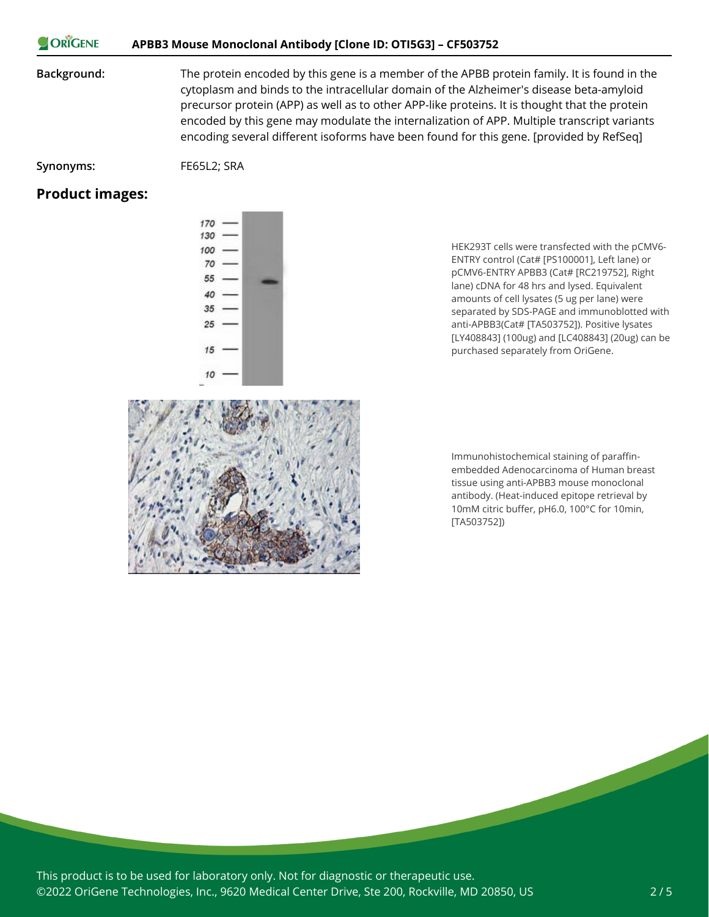#### ORIGENE **APBB3 Mouse Monoclonal Antibody [Clone ID: OTI5G3] – CF503752**

**Background:** The protein encoded by this gene is a member of the APBB protein family. It is found in the cytoplasm and binds to the intracellular domain of the Alzheimer's disease beta-amyloid precursor protein (APP) as well as to other APP-like proteins. It is thought that the protein encoded by this gene may modulate the internalization of APP. Multiple transcript variants encoding several different isoforms have been found for this gene. [provided by RefSeq]

**Synonyms:** FE65L2; SRA

#### **Product images:**

HEK293T cells were transfected with the pCMV6- ENTRY control (Cat# [PS100001], Left lane) or pCMV6-ENTRY APBB3 (Cat# [RC219752], Right lane) cDNA for 48 hrs and lysed. Equivalent amounts of cell lysates (5 ug per lane) were separated by SDS-PAGE and immunoblotted with anti-APBB3(Cat# [TA503752]). Positive lysates [LY408843] (100ug) and [LC408843] (20ug) can be purchased separately from OriGene.



Immunohistochemical staining of paraffinembedded Adenocarcinoma of Human breast tissue using anti-APBB3 mouse monoclonal antibody. (Heat-induced epitope retrieval by 10mM citric buffer, pH6.0, 100°C for 10min, [TA503752])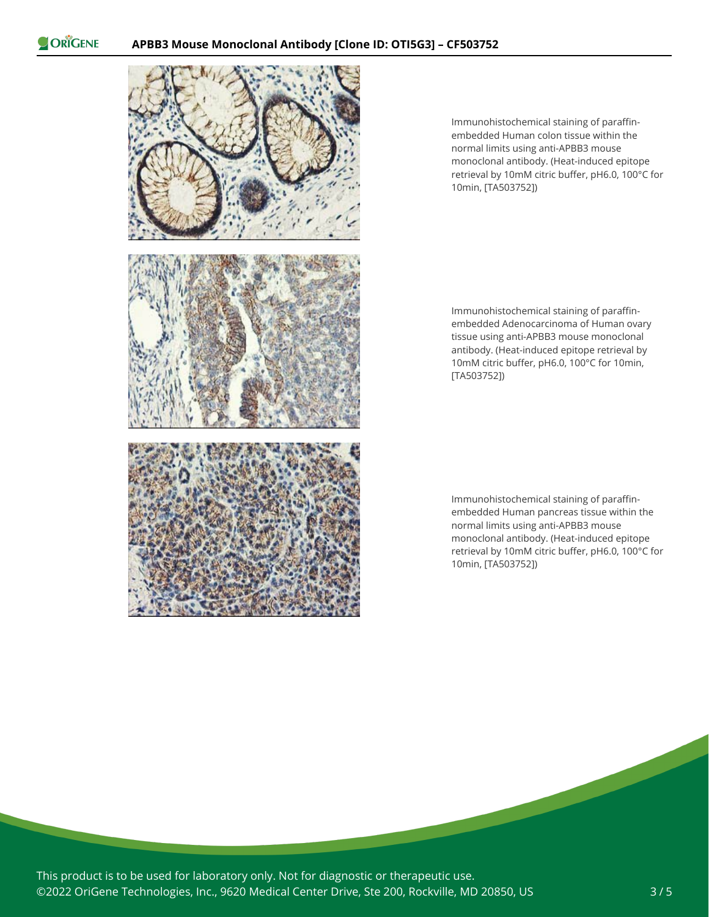ORIGENE



Immunohistochemical staining of paraffinembedded Human colon tissue within the normal limits using anti-APBB3 mouse monoclonal antibody. (Heat-induced epitope retrieval by 10mM citric buffer, pH6.0, 100°C for 10min, [TA503752])

Immunohistochemical staining of paraffinembedded Adenocarcinoma of Human ovary tissue using anti-APBB3 mouse monoclonal antibody. (Heat-induced epitope retrieval by 10mM citric buffer, pH6.0, 100°C for 10min, [TA503752])

Immunohistochemical staining of paraffinembedded Human pancreas tissue within the normal limits using anti-APBB3 mouse monoclonal antibody. (Heat-induced epitope retrieval by 10mM citric buffer, pH6.0, 100°C for 10min, [TA503752])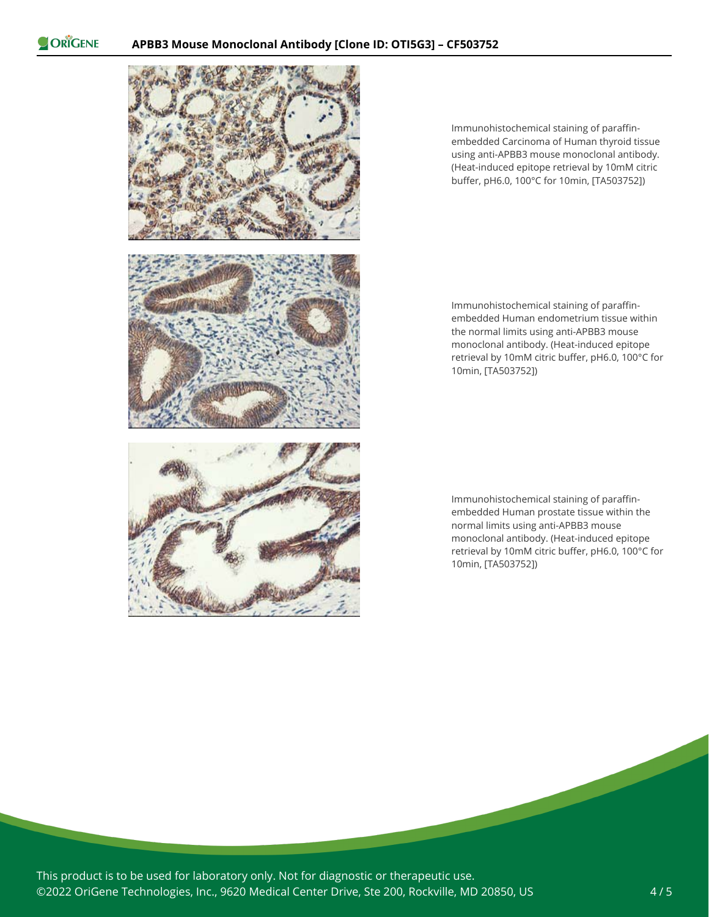ORIGENE



Immunohistochemical staining of paraffinembedded Carcinoma of Human thyroid tissue using anti-APBB3 mouse monoclonal antibody. (Heat-induced epitope retrieval by 10mM citric buffer, pH6.0, 100°C for 10min, [TA503752])

Immunohistochemical staining of paraffinembedded Human endometrium tissue within the normal limits using anti-APBB3 mouse monoclonal antibody. (Heat-induced epitope retrieval by 10mM citric buffer, pH6.0, 100°C for 10min, [TA503752])

Immunohistochemical staining of paraffinembedded Human prostate tissue within the normal limits using anti-APBB3 mouse monoclonal antibody. (Heat-induced epitope retrieval by 10mM citric buffer, pH6.0, 100°C for 10min, [TA503752])